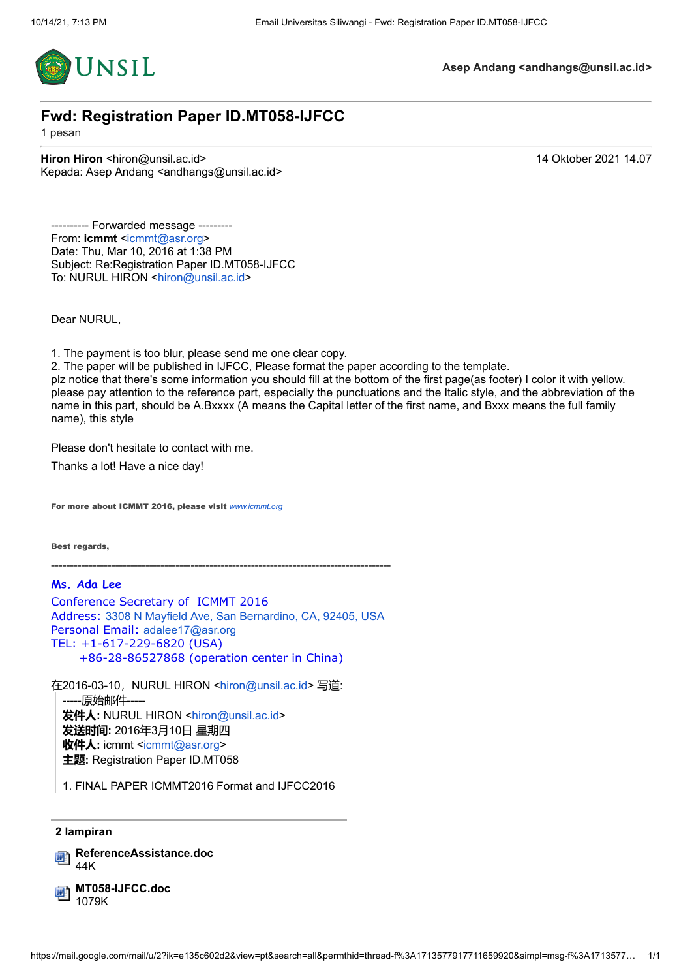

# **Fwd: Registration Paper ID.MT058-IJFCC**

1 pesan

**Hiron Hiron <hiron@unsil.ac.id>** 14 Oktober 2021 14.07 Kepada: Asep Andang <andhangs@unsil.ac.id>

---------- Forwarded message ----From: **icmmt** [<icmmt@asr.org](mailto:icmmt@asr.org)> Date: Thu, Mar 10, 2016 at 1:38 PM Subject: Re:Registration Paper ID.MT058-IJFCC To: NURUL HIRON <[hiron@unsil.ac.id>](mailto:hiron@unsil.ac.id)

Dear NURUL,

1. The payment is too blur, please send me one clear copy.

2. The paper will be published in IJFCC, Please format the paper according to the template.

plz notice that there's some information you should fill at the bottom of the first page(as footer) I color it with yellow. please pay attention to the reference part, especially the punctuations and the Italic style, and the abbreviation of the name in this part, should be A.Bxxxx (A means the Capital letter of the first name, and Bxxx means the full family name), this style

Please don't hesitate to contact with me.

Thanks a lot! Have a nice day!

For more about ICMMT 2016, please visit *[www.icmmt.org](http://www.icmmt.org/)*

Best regards,

------------------------------------------------------------------------------------------

**Ms. Ada Lee**

Conference Secretary of ICMMT 2016 Address: [3308 N Mayfield Ave, San Bernardino, CA, 92405, USA](https://www.google.com/maps/search/3308+N+Mayfield+Ave,+San+Bernardino,+CA,+92405,+USA?entry=gmail&source=g) Personal Email: [adalee17@asr.org](mailto:adalee17@asr.org) TEL: +1-617-229-6820 (USA) +86-28-86527868 (operation center in China)

在2016-03-10, NURUL HIRON <[hiron@unsil.ac.id>](mailto:hiron@unsil.ac.id) 写道: -----原始邮件----- **发件人:** NURUL HIRON <[hiron@unsil.ac.id](mailto:hiron@unsil.ac.id)> **发送时间:** 2016年3月10日 星期四 **收件人:** icmmt <[icmmt@asr.org>](mailto:icmmt@asr.org) **主题:** Registration Paper ID.MT058

1. FINAL PAPER ICMMT2016 Format and IJFCC2016

#### **2 lampiran**

**ReferenceAssistance.doc** 44K

**MT058-IJFCC.doc** 1079K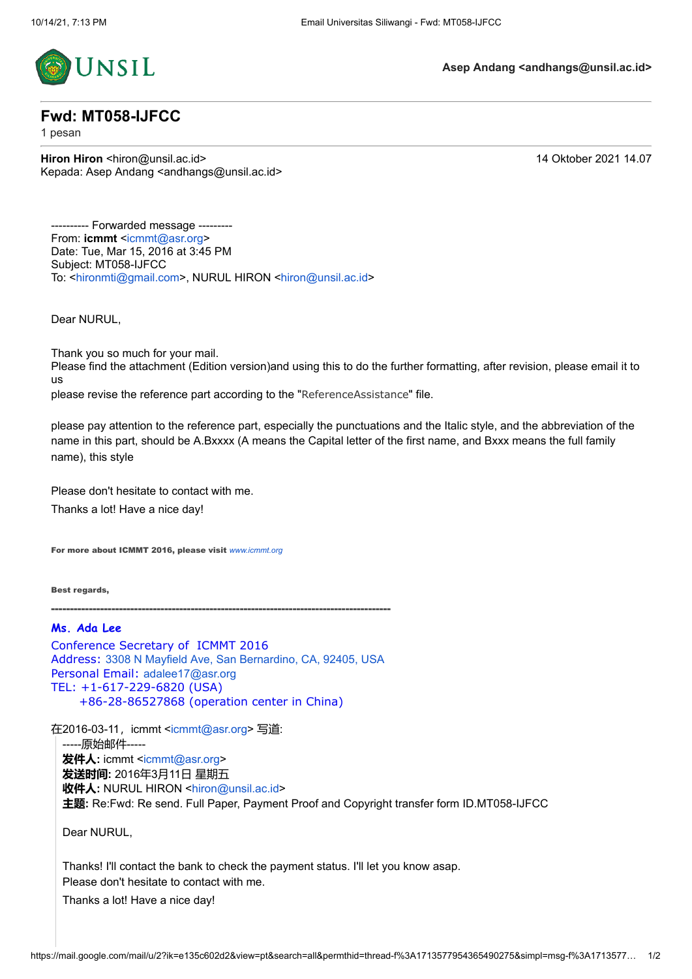

## **Fwd: MT058-IJFCC**

1 pesan

**Hiron Hiron <hiron@unsil.ac.id>** 14 Oktober 2021 14.07 Kepada: Asep Andang <andhangs@unsil.ac.id>

---------- Forwarded message --------- From: **icmmt** [<icmmt@asr.org](mailto:icmmt@asr.org)> Date: Tue, Mar 15, 2016 at 3:45 PM Subject: MT058-IJFCC To: <[hironmti@gmail.com](mailto:hironmti@gmail.com)>, NURUL HIRON [<hiron@unsil.ac.id](mailto:hiron@unsil.ac.id)>

Dear NURUL,

Thank you so much for your mail.

Please find the attachment (Edition version)and using this to do the further formatting, after revision, please email it to us

please revise the reference part according to the "ReferenceAssistance" file.

please pay attention to the reference part, especially the punctuations and the Italic style, and the abbreviation of the name in this part, should be A.Bxxxx (A means the Capital letter of the first name, and Bxxx means the full family name), this style

Please don't hesitate to contact with me. Thanks a lot! Have a nice day!

For more about ICMMT 2016, please visit *[www.icmmt.org](http://www.icmmt.org/)*

Best regards,

------------------------------------------------------------------------------------------

### **Ms. Ada Lee**

Conference Secretary of ICMMT 2016 Address: [3308 N Mayfield Ave, San Bernardino, CA, 92405, USA](https://www.google.com/maps/search/3308+N+Mayfield+Ave,+San+Bernardino,+CA,+92405,+USA?entry=gmail&source=g) Personal Email: [adalee17@asr.org](mailto:adalee17@asr.org) TEL: +1-617-229-6820 (USA) +86-28-86527868 (operation center in China)

在2016-03-11, icmmt [<icmmt@asr.org>](mailto:icmmt@asr.org) 写道: -----原始邮件----- **发件人:** icmmt <[icmmt@asr.org>](mailto:icmmt@asr.org) **发送时间:** 2016年3月11日 星期五 **收件人:** NURUL HIRON <[hiron@unsil.ac.id](mailto:hiron@unsil.ac.id)> **主题:** Re:Fwd: Re send. Full Paper, Payment Proof and Copyright transfer form ID.MT058-IJFCC

Dear NURUL,

Thanks! I'll contact the bank to check the payment status. I'll let you know asap. Please don't hesitate to contact with me.

Thanks a lot! Have a nice day!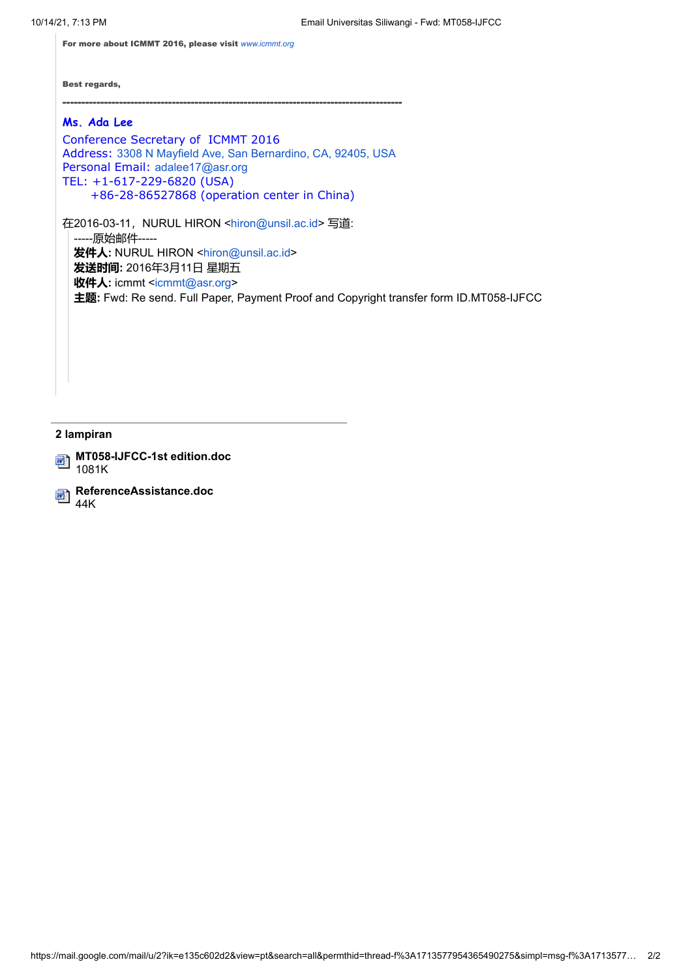For more about ICMMT 2016, please visit *[www.icmmt.org](http://www.icmmt.org/)*

Best regards,

### ------------------------------------------------------------------------------------------

## **Ms. Ada Lee**

Conference Secretary of ICMMT 2016 Address: [3308 N Mayfield Ave, San Bernardino, CA, 92405, USA](https://www.google.com/maps/search/3308+N+Mayfield+Ave,+San+Bernardino,+CA,+92405,+USA?entry=gmail&source=g) Personal Email: [adalee17@asr.org](mailto:adalee17@asr.org) TEL: +1-617-229-6820 (USA) +86-28-86527868 (operation center in China)

在2016-03-11, NURUL HIRON <[hiron@unsil.ac.id>](mailto:hiron@unsil.ac.id) 写道: -----原始邮件----- **发件人:** NURUL HIRON [<hiron@unsil.ac.id](mailto:hiron@unsil.ac.id)> **发送时间:** 2016年3月11日 星期五 **收件人:** icmmt [<icmmt@asr.org](mailto:icmmt@asr.org)> **主题:** Fwd: Re send. Full Paper, Payment Proof and Copyright transfer form ID.MT058-IJFCC

#### **2 lampiran**

**MT058-IJFCC-1st edition.doc** 1081K

**ReferenceAssistance.doc** 44K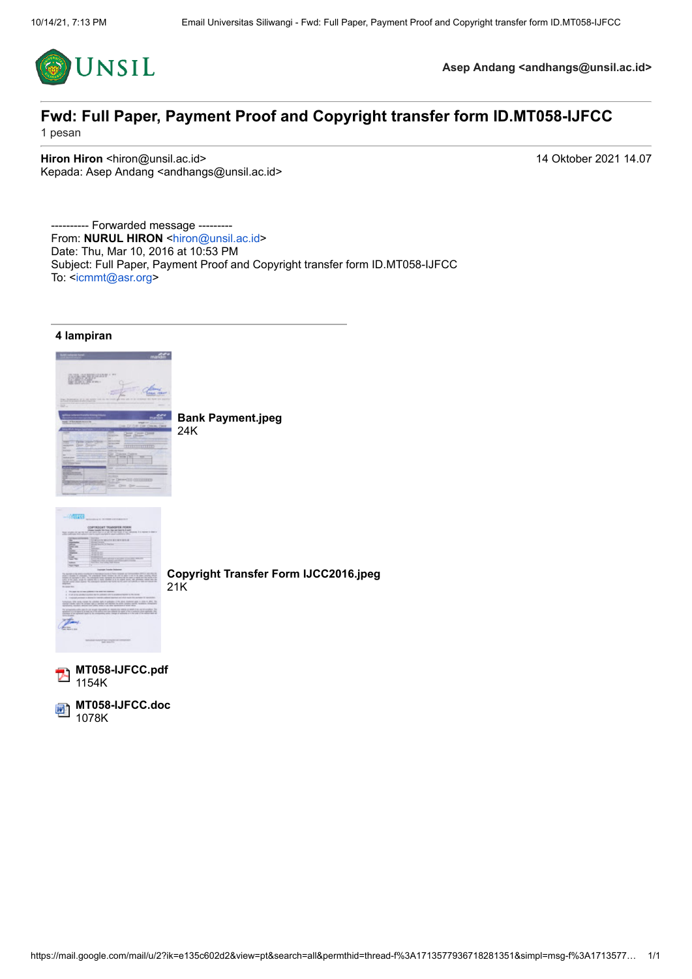

## **Fwd: Full Paper, Payment Proof and Copyright transfer form ID.MT058-IJFCC** 1 pesan

**Hiron Hiron <hiron@unsil.ac.id>** 14 Oktober 2021 14.07 Kepada: Asep Andang <andhangs@unsil.ac.id>

---------- Forwarded message --------- From: **NURUL HIRON** <http://montoparty.com/ Date: Thu, Mar 10, 2016 at 10:53 PM Subject: Full Paper, Payment Proof and Copyright transfer form ID.MT058-IJFCC To: <[icmmt@asr.org](mailto:icmmt@asr.org)>



**MT058-IJFCC.doc** 靊 1078K

https://mail.google.com/mail/u/2?ik=e135c602d2&view=pt&search=all&permthid=thread-f%3A1713577936718281351&simpl=msg-f%3A1713577… 1/1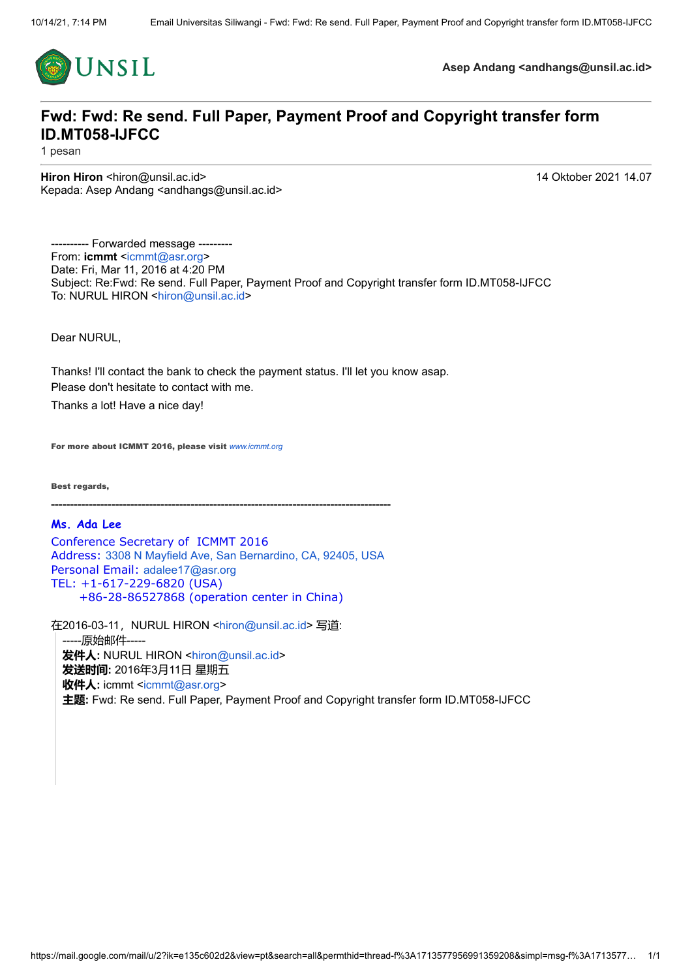

# **Fwd: Fwd: Re send. Full Paper, Payment Proof and Copyright transfer form ID.MT058-IJFCC**

1 pesan

**Hiron Hiron <hiron@unsil.ac.id>** 14 Oktober 2021 14.07 Kepada: Asep Andang <andhangs@unsil.ac.id>

---------- Forwarded message --------- From: **icmmt** [<icmmt@asr.org](mailto:icmmt@asr.org)> Date: Fri, Mar 11, 2016 at 4:20 PM Subject: Re:Fwd: Re send. Full Paper, Payment Proof and Copyright transfer form ID.MT058-IJFCC To: NURUL HIRON <[hiron@unsil.ac.id>](mailto:hiron@unsil.ac.id)

Dear NURUL,

Thanks! I'll contact the bank to check the payment status. I'll let you know asap. Please don't hesitate to contact with me.

Thanks a lot! Have a nice day!

For more about ICMMT 2016, please visit *[www.icmmt.org](http://www.icmmt.org/)*

Best regards,

------------------------------------------------------------------------------------------

### **Ms. Ada Lee**

Conference Secretary of ICMMT 2016 Address: [3308 N Mayfield Ave, San Bernardino, CA, 92405, USA](https://www.google.com/maps/search/3308+N+Mayfield+Ave,+San+Bernardino,+CA,+92405,+USA?entry=gmail&source=g) Personal Email: [adalee17@asr.org](mailto:adalee17@asr.org) TEL: +1-617-229-6820 (USA) +86-28-86527868 (operation center in China)

在2016-03-11, NURUL HIRON <[hiron@unsil.ac.id>](mailto:hiron@unsil.ac.id) 写道: -----原始邮件----- **发件人:** NURUL HIRON <[hiron@unsil.ac.id](mailto:hiron@unsil.ac.id)> **发送时间:** 2016年3月11日 星期五 **收件人:** icmmt <[icmmt@asr.org>](mailto:icmmt@asr.org) **主题:** Fwd: Re send. Full Paper, Payment Proof and Copyright transfer form ID.MT058-IJFCC